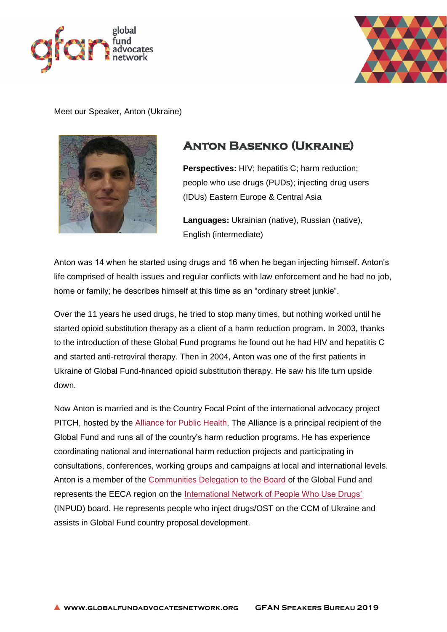



Meet our Speaker, Anton (Ukraine)



## **Anton Basenko (Ukraine)**

**Perspectives:** HIV; hepatitis C; harm reduction; people who use drugs (PUDs); injecting drug users (IDUs) Eastern Europe & Central Asia

**Languages:** Ukrainian (native), Russian (native), English (intermediate)

Anton was 14 when he started using drugs and 16 when he began injecting himself. Anton's life comprised of health issues and regular conflicts with law enforcement and he had no job, home or family; he describes himself at this time as an "ordinary street junkie".

Over the 11 years he used drugs, he tried to stop many times, but nothing worked until he started opioid substitution therapy as a client of a harm reduction program. In 2003, thanks to the introduction of these Global Fund programs he found out he had HIV and hepatitis C and started anti-retroviral therapy. Then in 2004, Anton was one of the first patients in Ukraine of Global Fund-financed opioid substitution therapy. He saw his life turn upside down.

Now Anton is married and is the Country Focal Point of the international advocacy project PITCH, hosted by the [Alliance for Public Health.](http://www.aph.org.ua/) The Alliance is a principal recipient of the Global Fund and runs all of the country's harm reduction programs. He has experience coordinating national and international harm reduction projects and participating in consultations, conferences, working groups and campaigns at local and international levels. Anton is a member of the [Communities Delegation to the Board](https://www.globalfundcommunitiesdelegation.org/) of the Global Fund and represents the EECA region on the [International Network of People Who Use Drugs'](http://www.inpud.net/) (INPUD) board. He represents people who inject drugs/OST on the CCM of Ukraine and assists in Global Fund country proposal development.